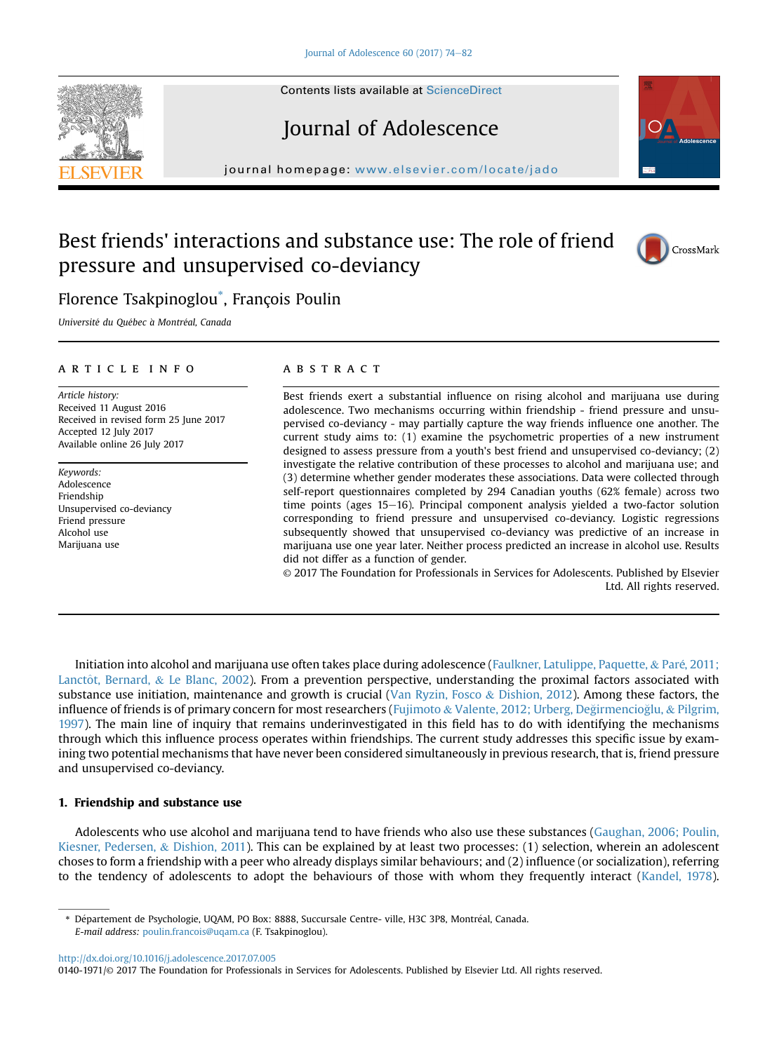Contents lists available at [ScienceDirect](www.sciencedirect.com/science/journal/01401971)

# Journal of Adolescence

journal homepage: [www.elsevier.com/locate/jado](http://www.elsevier.com/locate/jado)

## Best friends' interactions and substance use: The role of friend pressure and unsupervised co-deviancy

## Florence Tsakpinoglou\* , François Poulin

Université du Québec à Montréal, Canada

#### article info

Article history: Received 11 August 2016 Received in revised form 25 June 2017 Accepted 12 July 2017 Available online 26 July 2017

Keywords: Adolescence Friendship Unsupervised co-deviancy Friend pressure Alcohol use Marijuana use

#### **ABSTRACT**

Best friends exert a substantial influence on rising alcohol and marijuana use during adolescence. Two mechanisms occurring within friendship - friend pressure and unsupervised co-deviancy - may partially capture the way friends influence one another. The current study aims to: (1) examine the psychometric properties of a new instrument designed to assess pressure from a youth's best friend and unsupervised co-deviancy; (2) investigate the relative contribution of these processes to alcohol and marijuana use; and (3) determine whether gender moderates these associations. Data were collected through self-report questionnaires completed by 294 Canadian youths (62% female) across two time points (ages  $15-16$ ). Principal component analysis yielded a two-factor solution corresponding to friend pressure and unsupervised co-deviancy. Logistic regressions subsequently showed that unsupervised co-deviancy was predictive of an increase in marijuana use one year later. Neither process predicted an increase in alcohol use. Results did not differ as a function of gender.

© 2017 The Foundation for Professionals in Services for Adolescents. Published by Elsevier Ltd. All rights reserved.

Initiation into alcohol and marijuana use often takes place during adolescence [\(Faulkner, Latulippe, Paquette,](#page-7-0) & [Pare, 2011;](#page-7-0) [Lanct](#page-7-0)ô[t, Bernard,](#page-7-0)  $&$  [Le Blanc, 2002\)](#page-7-0). From a prevention perspective, understanding the proximal factors associated with substance use initiation, maintenance and growth is crucial [\(Van Ryzin, Fosco](#page-8-0) & [Dishion, 2012\)](#page-8-0). Among these factors, the influence of friends is of primary concern for most researchers [\(Fujimoto](#page-7-0) & [Valente, 2012; Urberg, De](#page-7-0)ğ[irmencio](#page-7-0)ğ[lu,](#page-7-0) & [Pilgrim,](#page-7-0) [1997](#page-7-0)). The main line of inquiry that remains underinvestigated in this field has to do with identifying the mechanisms through which this influence process operates within friendships. The current study addresses this specific issue by examining two potential mechanisms that have never been considered simultaneously in previous research, that is, friend pressure and unsupervised co-deviancy.

#### 1. Friendship and substance use

Adolescents who use alcohol and marijuana tend to have friends who also use these substances [\(Gaughan, 2006; Poulin,](#page-7-0) [Kiesner, Pedersen,](#page-7-0) & [Dishion, 2011\)](#page-7-0). This can be explained by at least two processes: (1) selection, wherein an adolescent choses to form a friendship with a peer who already displays similar behaviours; and (2) influence (or socialization), referring to the tendency of adolescents to adopt the behaviours of those with whom they frequently interact ([Kandel, 1978](#page-7-0)).

<http://dx.doi.org/10.1016/j.adolescence.2017.07.005>

0140-1971/© 2017 The Foundation for Professionals in Services for Adolescents. Published by Elsevier Ltd. All rights reserved.





CrossMark

<sup>\*</sup> Département de Psychologie, UQAM, PO Box: 8888, Succursale Centre- ville, H3C 3P8, Montréal, Canada. E-mail address: [poulin.francois@uqam.ca](mailto:poulin.francois@uqam.ca) (F. Tsakpinoglou).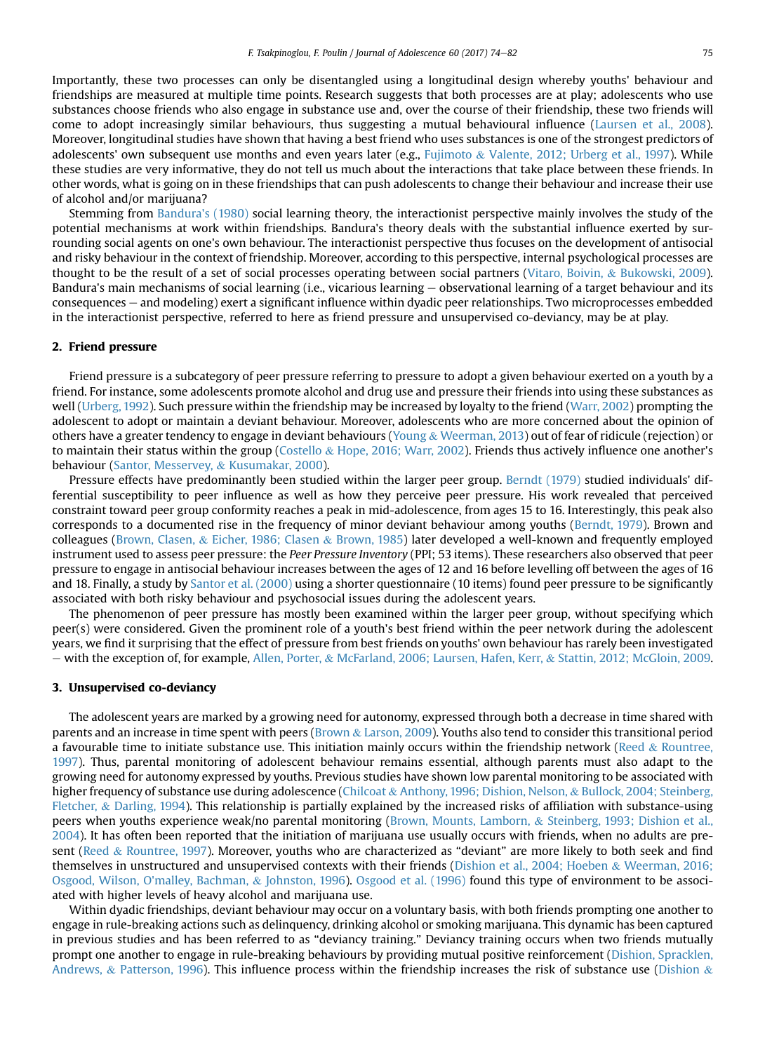Importantly, these two processes can only be disentangled using a longitudinal design whereby youths' behaviour and friendships are measured at multiple time points. Research suggests that both processes are at play; adolescents who use substances choose friends who also engage in substance use and, over the course of their friendship, these two friends will come to adopt increasingly similar behaviours, thus suggesting a mutual behavioural influence ([Laursen et al., 2008](#page-8-0)). Moreover, longitudinal studies have shown that having a best friend who uses substances is one of the strongest predictors of adolescents' own subsequent use months and even years later (e.g., [Fujimoto](#page-7-0) & [Valente, 2012; Urberg et al., 1997\)](#page-7-0). While these studies are very informative, they do not tell us much about the interactions that take place between these friends. In other words, what is going on in these friendships that can push adolescents to change their behaviour and increase their use of alcohol and/or marijuana?

Stemming from [Bandura's \(1980\)](#page-7-0) social learning theory, the interactionist perspective mainly involves the study of the potential mechanisms at work within friendships. Bandura's theory deals with the substantial influence exerted by surrounding social agents on one's own behaviour. The interactionist perspective thus focuses on the development of antisocial and risky behaviour in the context of friendship. Moreover, according to this perspective, internal psychological processes are thought to be the result of a set of social processes operating between social partners [\(Vitaro, Boivin,](#page-8-0) & [Bukowski, 2009](#page-8-0)). Bandura's main mechanisms of social learning (i.e., vicarious learning  $-$  observational learning of a target behaviour and its consequences e and modeling) exert a significant influence within dyadic peer relationships. Two microprocesses embedded in the interactionist perspective, referred to here as friend pressure and unsupervised co-deviancy, may be at play.

#### 2. Friend pressure

Friend pressure is a subcategory of peer pressure referring to pressure to adopt a given behaviour exerted on a youth by a friend. For instance, some adolescents promote alcohol and drug use and pressure their friends into using these substances as well ([Urberg, 1992](#page-8-0)). Such pressure within the friendship may be increased by loyalty to the friend [\(Warr, 2002](#page-8-0)) prompting the adolescent to adopt or maintain a deviant behaviour. Moreover, adolescents who are more concerned about the opinion of others have a greater tendency to engage in deviant behaviours [\(Young](#page-8-0) & [Weerman, 2013\)](#page-8-0) out of fear of ridicule (rejection) or to maintain their status within the group [\(Costello](#page-7-0) & [Hope, 2016; Warr, 2002\)](#page-7-0). Friends thus actively influence one another's behaviour [\(Santor, Messervey,](#page-8-0) & [Kusumakar, 2000\)](#page-8-0).

Pressure effects have predominantly been studied within the larger peer group. [Berndt \(1979\)](#page-7-0) studied individuals' differential susceptibility to peer influence as well as how they perceive peer pressure. His work revealed that perceived constraint toward peer group conformity reaches a peak in mid-adolescence, from ages 15 to 16. Interestingly, this peak also corresponds to a documented rise in the frequency of minor deviant behaviour among youths [\(Berndt, 1979](#page-7-0)). Brown and colleagues ([Brown, Clasen,](#page-7-0) & [Eicher, 1986; Clasen](#page-7-0) & [Brown, 1985\)](#page-7-0) later developed a well-known and frequently employed instrument used to assess peer pressure: the Peer Pressure Inventory (PPI; 53 items). These researchers also observed that peer pressure to engage in antisocial behaviour increases between the ages of 12 and 16 before levelling off between the ages of 16 and 18. Finally, a study by [Santor et al. \(2000\)](#page-8-0) using a shorter questionnaire (10 items) found peer pressure to be significantly associated with both risky behaviour and psychosocial issues during the adolescent years.

The phenomenon of peer pressure has mostly been examined within the larger peer group, without specifying which peer(s) were considered. Given the prominent role of a youth's best friend within the peer network during the adolescent years, we find it surprising that the effect of pressure from best friends on youths' own behaviour has rarely been investigated e with the exception of, for example, [Allen, Porter,](#page-7-0) & [McFarland, 2006; Laursen, Hafen, Kerr,](#page-7-0) & [Stattin, 2012; McGloin, 2009](#page-7-0).

#### 3. Unsupervised co-deviancy

The adolescent years are marked by a growing need for autonomy, expressed through both a decrease in time shared with parents and an increase in time spent with peers [\(Brown](#page-7-0) & [Larson, 2009\)](#page-7-0). Youths also tend to consider this transitional period a favourable time to initiate substance use. This initiation mainly occurs within the friendship network [\(Reed](#page-8-0) & [Rountree,](#page-8-0) [1997](#page-8-0)). Thus, parental monitoring of adolescent behaviour remains essential, although parents must also adapt to the growing need for autonomy expressed by youths. Previous studies have shown low parental monitoring to be associated with higher frequency of substance use during adolescence ([Chilcoat](#page-7-0) & [Anthony, 1996; Dishion, Nelson,](#page-7-0) & [Bullock, 2004; Steinberg,](#page-7-0) [Fletcher,](#page-7-0) & [Darling, 1994\)](#page-7-0). This relationship is partially explained by the increased risks of affiliation with substance-using peers when youths experience weak/no parental monitoring [\(Brown, Mounts, Lamborn,](#page-7-0) & [Steinberg, 1993; Dishion et al.,](#page-7-0) [2004](#page-7-0)). It has often been reported that the initiation of marijuana use usually occurs with friends, when no adults are present ([Reed](#page-8-0) & [Rountree, 1997](#page-8-0)). Moreover, youths who are characterized as "deviant" are more likely to both seek and find themselves in unstructured and unsupervised contexts with their friends ([Dishion et al., 2004; Hoeben](#page-7-0) & [Weerman, 2016;](#page-7-0) [Osgood, Wilson, O'malley, Bachman,](#page-7-0) & [Johnston, 1996\)](#page-7-0). [Osgood et al. \(1996\)](#page-8-0) found this type of environment to be associated with higher levels of heavy alcohol and marijuana use.

Within dyadic friendships, deviant behaviour may occur on a voluntary basis, with both friends prompting one another to engage in rule-breaking actions such as delinquency, drinking alcohol or smoking marijuana. This dynamic has been captured in previous studies and has been referred to as "deviancy training." Deviancy training occurs when two friends mutually prompt one another to engage in rule-breaking behaviours by providing mutual positive reinforcement [\(Dishion, Spracklen,](#page-7-0) [Andrews,](#page-7-0) & [Patterson, 1996](#page-7-0)). This influence process within the friendship increases the risk of substance use ([Dishion](#page-7-0)  $\&$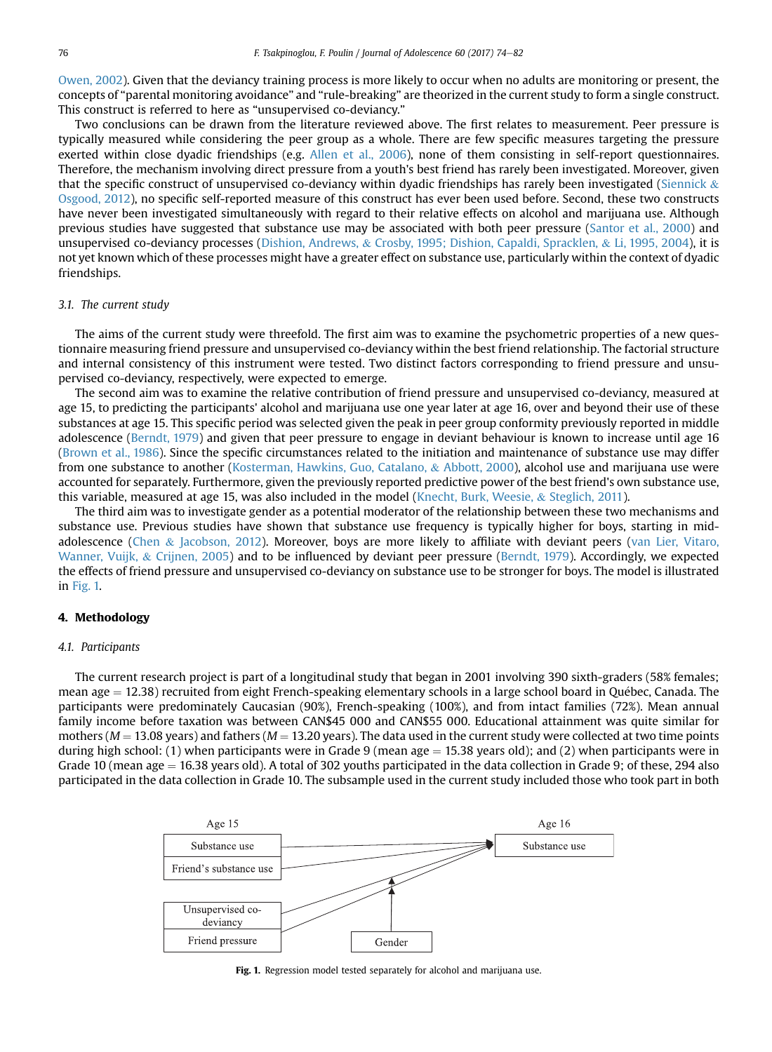[Owen, 2002\)](#page-7-0). Given that the deviancy training process is more likely to occur when no adults are monitoring or present, the concepts of "parental monitoring avoidance" and "rule-breaking" are theorized in the current study to form a single construct. This construct is referred to here as "unsupervised co-deviancy."

Two conclusions can be drawn from the literature reviewed above. The first relates to measurement. Peer pressure is typically measured while considering the peer group as a whole. There are few specific measures targeting the pressure exerted within close dyadic friendships (e.g. [Allen et al., 2006\)](#page-7-0), none of them consisting in self-report questionnaires. Therefore, the mechanism involving direct pressure from a youth's best friend has rarely been investigated. Moreover, given that the specific construct of unsupervised co-deviancy within dyadic friendships has rarely been investigated ([Siennick](#page-8-0)  $\&$ [Osgood, 2012](#page-8-0)), no specific self-reported measure of this construct has ever been used before. Second, these two constructs have never been investigated simultaneously with regard to their relative effects on alcohol and marijuana use. Although previous studies have suggested that substance use may be associated with both peer pressure [\(Santor et al., 2000](#page-8-0)) and unsupervised co-deviancy processes [\(Dishion, Andrews,](#page-7-0) & [Crosby, 1995; Dishion, Capaldi, Spracklen,](#page-7-0) & [Li, 1995, 2004\)](#page-7-0), it is not yet known which of these processes might have a greater effect on substance use, particularly within the context of dyadic friendships.

#### 3.1. The current study

The aims of the current study were threefold. The first aim was to examine the psychometric properties of a new questionnaire measuring friend pressure and unsupervised co-deviancy within the best friend relationship. The factorial structure and internal consistency of this instrument were tested. Two distinct factors corresponding to friend pressure and unsupervised co-deviancy, respectively, were expected to emerge.

The second aim was to examine the relative contribution of friend pressure and unsupervised co-deviancy, measured at age 15, to predicting the participants' alcohol and marijuana use one year later at age 16, over and beyond their use of these substances at age 15. This specific period was selected given the peak in peer group conformity previously reported in middle adolescence [\(Berndt, 1979](#page-7-0)) and given that peer pressure to engage in deviant behaviour is known to increase until age 16 [\(Brown et al., 1986](#page-7-0)). Since the specific circumstances related to the initiation and maintenance of substance use may differ from one substance to another ([Kosterman, Hawkins, Guo, Catalano,](#page-7-0) & [Abbott, 2000](#page-7-0)), alcohol use and marijuana use were accounted for separately. Furthermore, given the previously reported predictive power of the best friend's own substance use, this variable, measured at age 15, was also included in the model [\(Knecht, Burk, Weesie,](#page-7-0) & [Steglich, 2011\)](#page-7-0).

The third aim was to investigate gender as a potential moderator of the relationship between these two mechanisms and substance use. Previous studies have shown that substance use frequency is typically higher for boys, starting in midadolescence ([Chen](#page-7-0) & [Jacobson, 2012\)](#page-7-0). Moreover, boys are more likely to affiliate with deviant peers [\(van Lier, Vitaro,](#page-8-0) [Wanner, Vuijk,](#page-8-0) & [Crijnen, 2005\)](#page-8-0) and to be influenced by deviant peer pressure [\(Berndt, 1979\)](#page-7-0). Accordingly, we expected the effects of friend pressure and unsupervised co-deviancy on substance use to be stronger for boys. The model is illustrated in Fig. 1.

#### 4. Methodology

#### 4.1. Participants

The current research project is part of a longitudinal study that began in 2001 involving 390 sixth-graders (58% females; mean age  $= 12.38$ ) recruited from eight French-speaking elementary schools in a large school board in Québec, Canada. The participants were predominately Caucasian (90%), French-speaking (100%), and from intact families (72%). Mean annual family income before taxation was between CAN\$45 000 and CAN\$55 000. Educational attainment was quite similar for mothers ( $M = 13.08$  years) and fathers ( $M = 13.20$  years). The data used in the current study were collected at two time points during high school: (1) when participants were in Grade 9 (mean age = 15.38 years old); and (2) when participants were in Grade 10 (mean age  $= 16.38$  years old). A total of 302 youths participated in the data collection in Grade 9; of these, 294 also participated in the data collection in Grade 10. The subsample used in the current study included those who took part in both



Fig. 1. Regression model tested separately for alcohol and marijuana use.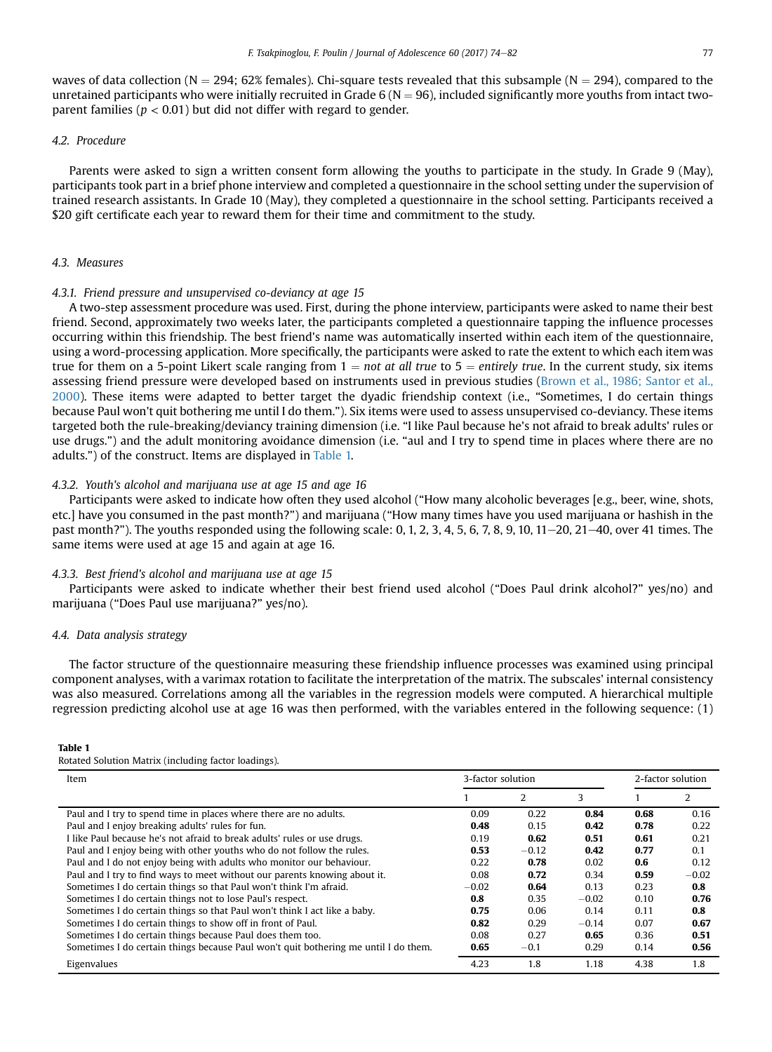<span id="page-3-0"></span>waves of data collection (N = 294; 62% females). Chi-square tests revealed that this subsample (N = 294), compared to the unretained participants who were initially recruited in Grade 6 ( $N = 96$ ), included significantly more youths from intact twoparent families ( $p < 0.01$ ) but did not differ with regard to gender.

#### 4.2. Procedure

Parents were asked to sign a written consent form allowing the youths to participate in the study. In Grade 9 (May), participants took part in a brief phone interview and completed a questionnaire in the school setting under the supervision of trained research assistants. In Grade 10 (May), they completed a questionnaire in the school setting. Participants received a \$20 gift certificate each year to reward them for their time and commitment to the study.

### 4.3. Measures

#### 4.3.1. Friend pressure and unsupervised co-deviancy at age 15

A two-step assessment procedure was used. First, during the phone interview, participants were asked to name their best friend. Second, approximately two weeks later, the participants completed a questionnaire tapping the influence processes occurring within this friendship. The best friend's name was automatically inserted within each item of the questionnaire, using a word-processing application. More specifically, the participants were asked to rate the extent to which each item was true for them on a 5-point Likert scale ranging from  $1 = not$  at all true to  $5 =$  entirely true. In the current study, six items assessing friend pressure were developed based on instruments used in previous studies ([Brown et al., 1986; Santor et al.,](#page-7-0) [2000](#page-7-0)). These items were adapted to better target the dyadic friendship context (i.e., "Sometimes, I do certain things because Paul won't quit bothering me until I do them."). Six items were used to assess unsupervised co-deviancy. These items targeted both the rule-breaking/deviancy training dimension (i.e. "I like Paul because he's not afraid to break adults' rules or use drugs.") and the adult monitoring avoidance dimension (i.e. "aul and I try to spend time in places where there are no adults.") of the construct. Items are displayed in Table 1.

#### 4.3.2. Youth's alcohol and marijuana use at age 15 and age 16

Participants were asked to indicate how often they used alcohol ("How many alcoholic beverages [e.g., beer, wine, shots, etc.] have you consumed in the past month?") and marijuana ("How many times have you used marijuana or hashish in the past month?"). The youths responded using the following scale: 0, 1, 2, 3, 4, 5, 6, 7, 8, 9, 10, 11 $-20$ , 21 $-40$ , over 41 times. The same items were used at age 15 and again at age 16.

#### 4.3.3. Best friend's alcohol and marijuana use at age 15

Participants were asked to indicate whether their best friend used alcohol ("Does Paul drink alcohol?" yes/no) and marijuana ("Does Paul use marijuana?" yes/no).

#### 4.4. Data analysis strategy

The factor structure of the questionnaire measuring these friendship influence processes was examined using principal component analyses, with a varimax rotation to facilitate the interpretation of the matrix. The subscales' internal consistency was also measured. Correlations among all the variables in the regression models were computed. A hierarchical multiple regression predicting alcohol use at age 16 was then performed, with the variables entered in the following sequence: (1)

#### Table 1

Rotated Solution Matrix (including factor loadings).

| Item                                                                                | 3-factor solution |         | 2-factor solution |      |         |
|-------------------------------------------------------------------------------------|-------------------|---------|-------------------|------|---------|
|                                                                                     |                   | 2       | 3                 |      | 2       |
| Paul and I try to spend time in places where there are no adults.                   | 0.09              | 0.22    | 0.84              | 0.68 | 0.16    |
| Paul and I enjoy breaking adults' rules for fun.                                    | 0.48              | 0.15    | 0.42              | 0.78 | 0.22    |
| I like Paul because he's not afraid to break adults' rules or use drugs.            | 0.19              | 0.62    | 0.51              | 0.61 | 0.21    |
| Paul and I enjoy being with other youths who do not follow the rules.               | 0.53              | $-0.12$ | 0.42              | 0.77 | 0.1     |
| Paul and I do not enjoy being with adults who monitor our behaviour.                | 0.22              | 0.78    | 0.02              | 0.6  | 0.12    |
| Paul and I try to find ways to meet without our parents knowing about it.           | 0.08              | 0.72    | 0.34              | 0.59 | $-0.02$ |
| Sometimes I do certain things so that Paul won't think I'm afraid.                  | $-0.02$           | 0.64    | 0.13              | 0.23 | 0.8     |
| Sometimes I do certain things not to lose Paul's respect.                           | 0.8               | 0.35    | $-0.02$           | 0.10 | 0.76    |
| Sometimes I do certain things so that Paul won't think I act like a baby.           | 0.75              | 0.06    | 0.14              | 0.11 | 0.8     |
| Sometimes I do certain things to show off in front of Paul.                         | 0.82              | 0.29    | $-0.14$           | 0.07 | 0.67    |
| Sometimes I do certain things because Paul does them too.                           | 0.08              | 0.27    | 0.65              | 0.36 | 0.51    |
| Sometimes I do certain things because Paul won't quit bothering me until I do them. | 0.65              | $-0.1$  | 0.29              | 0.14 | 0.56    |
| Eigenvalues                                                                         | 4.23              | 1.8     | 1.18              | 4.38 | 1.8     |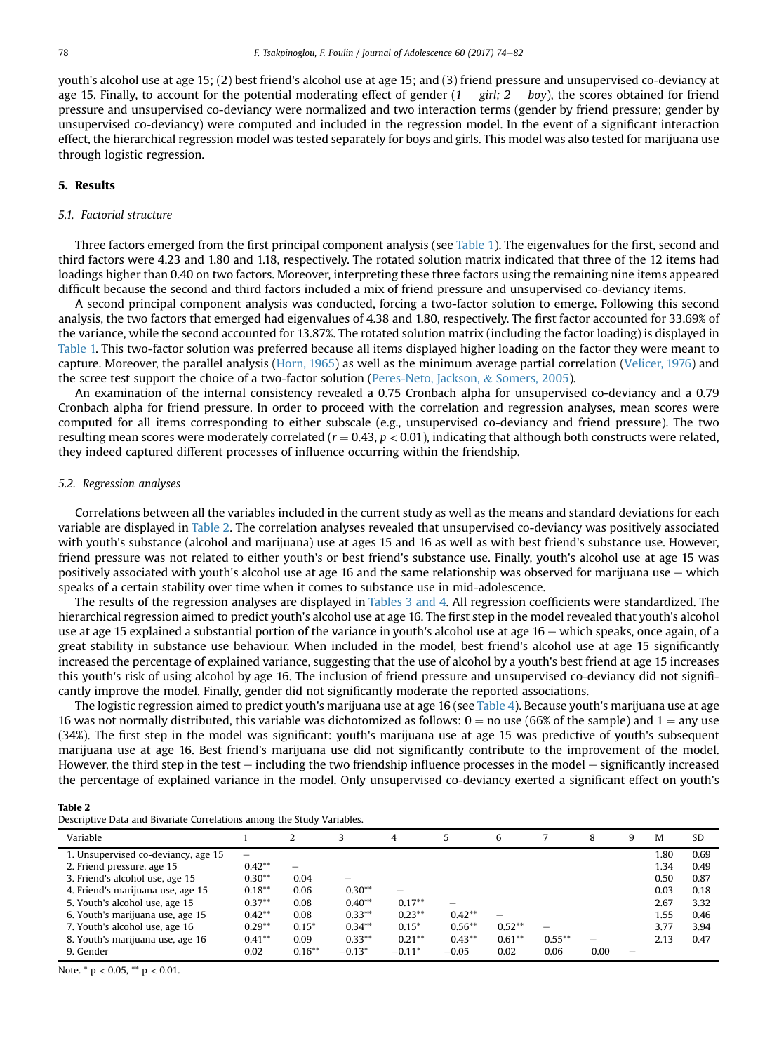youth's alcohol use at age 15; (2) best friend's alcohol use at age 15; and (3) friend pressure and unsupervised co-deviancy at age 15. Finally, to account for the potential moderating effect of gender  $(1 = \text{girl}; 2 = \text{bov})$ , the scores obtained for friend pressure and unsupervised co-deviancy were normalized and two interaction terms (gender by friend pressure; gender by unsupervised co-deviancy) were computed and included in the regression model. In the event of a significant interaction effect, the hierarchical regression model was tested separately for boys and girls. This model was also tested for marijuana use through logistic regression.

#### 5. Results

#### 5.1. Factorial structure

Three factors emerged from the first principal component analysis (see [Table 1\)](#page-3-0). The eigenvalues for the first, second and third factors were 4.23 and 1.80 and 1.18, respectively. The rotated solution matrix indicated that three of the 12 items had loadings higher than 0.40 on two factors. Moreover, interpreting these three factors using the remaining nine items appeared difficult because the second and third factors included a mix of friend pressure and unsupervised co-deviancy items.

A second principal component analysis was conducted, forcing a two-factor solution to emerge. Following this second analysis, the two factors that emerged had eigenvalues of 4.38 and 1.80, respectively. The first factor accounted for 33.69% of the variance, while the second accounted for 13.87%. The rotated solution matrix (including the factor loading) is displayed in [Table 1.](#page-3-0) This two-factor solution was preferred because all items displayed higher loading on the factor they were meant to capture. Moreover, the parallel analysis ([Horn, 1965](#page-7-0)) as well as the minimum average partial correlation [\(Velicer, 1976\)](#page-8-0) and the scree test support the choice of a two-factor solution [\(Peres-Neto, Jackson,](#page-8-0) & [Somers, 2005](#page-8-0)).

An examination of the internal consistency revealed a 0.75 Cronbach alpha for unsupervised co-deviancy and a 0.79 Cronbach alpha for friend pressure. In order to proceed with the correlation and regression analyses, mean scores were computed for all items corresponding to either subscale (e.g., unsupervised co-deviancy and friend pressure). The two resulting mean scores were moderately correlated ( $r = 0.43$ ,  $p < 0.01$ ), indicating that although both constructs were related, they indeed captured different processes of influence occurring within the friendship.

#### 5.2. Regression analyses

Correlations between all the variables included in the current study as well as the means and standard deviations for each variable are displayed in Table 2. The correlation analyses revealed that unsupervised co-deviancy was positively associated with youth's substance (alcohol and marijuana) use at ages 15 and 16 as well as with best friend's substance use. However, friend pressure was not related to either youth's or best friend's substance use. Finally, youth's alcohol use at age 15 was positively associated with youth's alcohol use at age 16 and the same relationship was observed for marijuana use  $-$  which speaks of a certain stability over time when it comes to substance use in mid-adolescence.

The results of the regression analyses are displayed in [Tables 3 and 4.](#page-5-0) All regression coefficients were standardized. The hierarchical regression aimed to predict youth's alcohol use at age 16. The first step in the model revealed that youth's alcohol use at age 15 explained a substantial portion of the variance in youth's alcohol use at age  $16$  – which speaks, once again, of a great stability in substance use behaviour. When included in the model, best friend's alcohol use at age 15 significantly increased the percentage of explained variance, suggesting that the use of alcohol by a youth's best friend at age 15 increases this youth's risk of using alcohol by age 16. The inclusion of friend pressure and unsupervised co-deviancy did not significantly improve the model. Finally, gender did not significantly moderate the reported associations.

The logistic regression aimed to predict youth's marijuana use at age 16 (see [Table 4](#page-5-0)). Because youth's marijuana use at age 16 was not normally distributed, this variable was dichotomized as follows:  $0 =$  no use (66% of the sample) and  $1 =$  any use (34%). The first step in the model was significant: youth's marijuana use at age 15 was predictive of youth's subsequent marijuana use at age 16. Best friend's marijuana use did not significantly contribute to the improvement of the model. However, the third step in the test  $-$  including the two friendship influence processes in the model  $-$  significantly increased the percentage of explained variance in the model. Only unsupervised co-deviancy exerted a significant effect on youth's

### Table 2

| Descriptive Data and Bivariate Correlations among the Study Variables. |  |  |  |  |
|------------------------------------------------------------------------|--|--|--|--|
|------------------------------------------------------------------------|--|--|--|--|

| Variable                            |           |           |           | 4                        | 5         | 6        |           | 8    | q | M    | SD   |
|-------------------------------------|-----------|-----------|-----------|--------------------------|-----------|----------|-----------|------|---|------|------|
| 1. Unsupervised co-deviancy, age 15 | -         |           |           |                          |           |          |           |      |   | 1.80 | 0.69 |
| 2. Friend pressure, age 15          | $0.42***$ |           |           |                          |           |          |           |      |   | 1.34 | 0.49 |
| 3. Friend's alcohol use, age 15     | $0.30**$  | 0.04      | -         |                          |           |          |           |      |   | 0.50 | 0.87 |
| 4. Friend's marijuana use, age 15   | $0.18***$ | $-0.06$   | $0.30**$  | $\overline{\phantom{a}}$ |           |          |           |      |   | 0.03 | 0.18 |
| 5. Youth's alcohol use, age 15      | $0.37**$  | 0.08      | $0.40**$  | $0.17***$                | -         |          |           |      |   | 2.67 | 3.32 |
| 6. Youth's marijuana use, age 15    | $0.42**$  | 0.08      | $0.33**$  | $0.23***$                | $0.42**$  | -        |           |      |   | 1.55 | 0.46 |
| 7. Youth's alcohol use, age 16      | $0.29**$  | $0.15*$   | $0.34**$  | $0.15*$                  | $0.56***$ | $0.52**$ | -         |      |   | 3.77 | 3.94 |
| 8. Youth's marijuana use, age 16    | $0.41***$ | 0.09      | $0.33***$ | $0.21***$                | $0.43***$ | $0.61**$ | $0.55***$ | -    |   | 2.13 | 0.47 |
| 9. Gender                           | 0.02      | $0.16***$ | $-0.13*$  | $-0.11*$                 | $-0.05$   | 0.02     | 0.06      | 0.00 |   |      |      |

Note. \* p < 0.05, \*\* p < 0.01.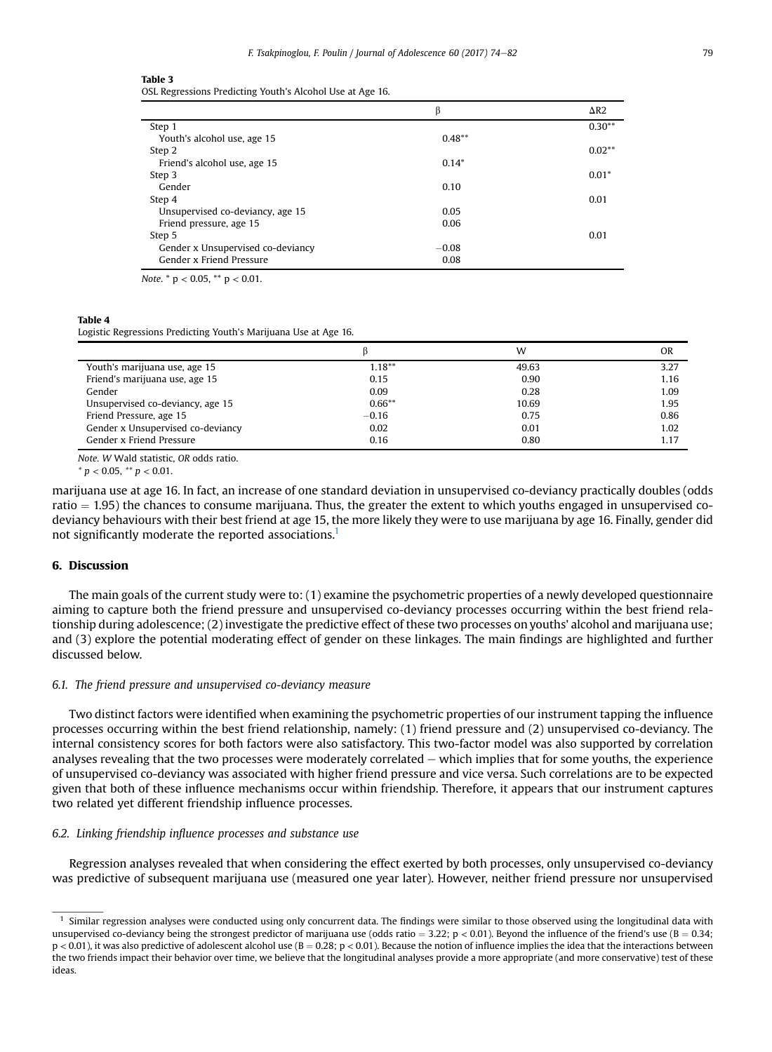<span id="page-5-0"></span>

| וחגו |  |  |  |
|------|--|--|--|
|------|--|--|--|

OSL Regressions Predicting Youth's Alcohol Use at Age 16.

|                                   | β         | $\Delta R2$ |
|-----------------------------------|-----------|-------------|
| Step 1                            |           | $0.30**$    |
| Youth's alcohol use, age 15       | $0.48***$ |             |
| Step 2                            |           | $0.02**$    |
| Friend's alcohol use, age 15      | $0.14*$   |             |
| Step 3                            |           | $0.01*$     |
| Gender                            | 0.10      |             |
| Step 4                            |           | 0.01        |
| Unsupervised co-deviancy, age 15  | 0.05      |             |
| Friend pressure, age 15           | 0.06      |             |
| Step 5                            |           | 0.01        |
| Gender x Unsupervised co-deviancy | $-0.08$   |             |
| Gender x Friend Pressure          | 0.08      |             |

Note.  $*$  p < 0.05,  $*$  p < 0.01.

#### Table 4

Logistic Regressions Predicting Youth's Marijuana Use at Age 16.

|                                   |           | w     | OR   |
|-----------------------------------|-----------|-------|------|
| Youth's marijuana use, age 15     | $1.18***$ | 49.63 | 3.27 |
| Friend's marijuana use, age 15    | 0.15      | 0.90  | 1.16 |
| Gender                            | 0.09      | 0.28  | 1.09 |
| Unsupervised co-deviancy, age 15  | $0.66***$ | 10.69 | 1.95 |
| Friend Pressure, age 15           | $-0.16$   | 0.75  | 0.86 |
| Gender x Unsupervised co-deviancy | 0.02      | 0.01  | 1.02 |
| Gender x Friend Pressure          | 0.16      | 0.80  | 1.17 |

Note. W Wald statistic, OR odds ratio.

 $* p < 0.05, ** p < 0.01.$ 

marijuana use at age 16. In fact, an increase of one standard deviation in unsupervised co-deviancy practically doubles (odds ratio  $=$  1.95) the chances to consume marijuana. Thus, the greater the extent to which youths engaged in unsupervised codeviancy behaviours with their best friend at age 15, the more likely they were to use marijuana by age 16. Finally, gender did not significantly moderate the reported associations.<sup>1</sup>

#### 6. Discussion

The main goals of the current study were to: (1) examine the psychometric properties of a newly developed questionnaire aiming to capture both the friend pressure and unsupervised co-deviancy processes occurring within the best friend relationship during adolescence; (2) investigate the predictive effect of these two processes on youths' alcohol and marijuana use; and (3) explore the potential moderating effect of gender on these linkages. The main findings are highlighted and further discussed below.

#### 6.1. The friend pressure and unsupervised co-deviancy measure

Two distinct factors were identified when examining the psychometric properties of our instrument tapping the influence processes occurring within the best friend relationship, namely: (1) friend pressure and (2) unsupervised co-deviancy. The internal consistency scores for both factors were also satisfactory. This two-factor model was also supported by correlation analyses revealing that the two processes were moderately correlated  $-$  which implies that for some youths, the experience of unsupervised co-deviancy was associated with higher friend pressure and vice versa. Such correlations are to be expected given that both of these influence mechanisms occur within friendship. Therefore, it appears that our instrument captures two related yet different friendship influence processes.

#### 6.2. Linking friendship influence processes and substance use

Regression analyses revealed that when considering the effect exerted by both processes, only unsupervised co-deviancy was predictive of subsequent marijuana use (measured one year later). However, neither friend pressure nor unsupervised

 $<sup>1</sup>$  Similar regression analyses were conducted using only concurrent data. The findings were similar to those observed using the longitudinal data with</sup> unsupervised co-deviancy being the strongest predictor of marijuana use (odds ratio = 3.22; p < 0.01). Beyond the influence of the friend's use (B = 0.34;  $p < 0.01$ ), it was also predictive of adolescent alcohol use (B = 0.28; p < 0.01). Because the notion of influence implies the idea that the interactions between the two friends impact their behavior over time, we believe that the longitudinal analyses provide a more appropriate (and more conservative) test of these ideas.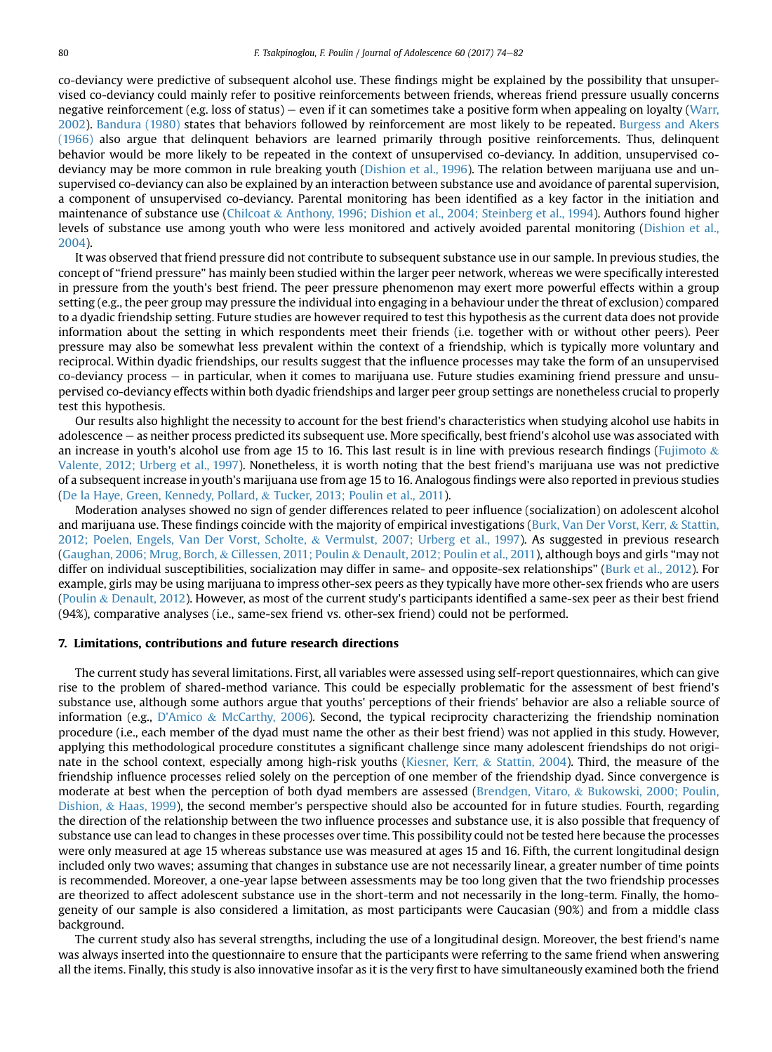co-deviancy were predictive of subsequent alcohol use. These findings might be explained by the possibility that unsupervised co-deviancy could mainly refer to positive reinforcements between friends, whereas friend pressure usually concerns negative reinforcement (e.g. loss of status) – even if it can sometimes take a positive form when appealing on loyalty ([Warr,](#page-8-0) [2002](#page-8-0)). [Bandura \(1980\)](#page-7-0) states that behaviors followed by reinforcement are most likely to be repeated. [Burgess and Akers](#page-7-0) [\(1966\)](#page-7-0) also argue that delinquent behaviors are learned primarily through positive reinforcements. Thus, delinquent behavior would be more likely to be repeated in the context of unsupervised co-deviancy. In addition, unsupervised codeviancy may be more common in rule breaking youth [\(Dishion et al., 1996\)](#page-7-0). The relation between marijuana use and unsupervised co-deviancy can also be explained by an interaction between substance use and avoidance of parental supervision, a component of unsupervised co-deviancy. Parental monitoring has been identified as a key factor in the initiation and maintenance of substance use [\(Chilcoat](#page-7-0) & [Anthony, 1996; Dishion et al., 2004; Steinberg et al., 1994\)](#page-7-0). Authors found higher levels of substance use among youth who were less monitored and actively avoided parental monitoring [\(Dishion et al.,](#page-7-0) [2004](#page-7-0)).

It was observed that friend pressure did not contribute to subsequent substance use in our sample. In previous studies, the concept of "friend pressure" has mainly been studied within the larger peer network, whereas we were specifically interested in pressure from the youth's best friend. The peer pressure phenomenon may exert more powerful effects within a group setting (e.g., the peer group may pressure the individual into engaging in a behaviour under the threat of exclusion) compared to a dyadic friendship setting. Future studies are however required to test this hypothesis as the current data does not provide information about the setting in which respondents meet their friends (i.e. together with or without other peers). Peer pressure may also be somewhat less prevalent within the context of a friendship, which is typically more voluntary and reciprocal. Within dyadic friendships, our results suggest that the influence processes may take the form of an unsupervised  $co$ -deviancy process  $-$  in particular, when it comes to marijuana use. Future studies examining friend pressure and unsupervised co-deviancy effects within both dyadic friendships and larger peer group settings are nonetheless crucial to properly test this hypothesis.

Our results also highlight the necessity to account for the best friend's characteristics when studying alcohol use habits in adolescence - as neither process predicted its subsequent use. More specifically, best friend's alcohol use was associated with an increase in youth's alcohol use from age 15 to 16. This last result is in line with previous research findings ([Fujimoto](#page-7-0)  $\&$ [Valente, 2012; Urberg et al., 1997](#page-7-0)). Nonetheless, it is worth noting that the best friend's marijuana use was not predictive of a subsequent increase in youth's marijuana use from age 15 to 16. Analogous findings were also reported in previous studies [\(De la Haye, Green, Kennedy, Pollard,](#page-7-0) & [Tucker, 2013; Poulin et al., 2011](#page-7-0)).

Moderation analyses showed no sign of gender differences related to peer influence (socialization) on adolescent alcohol and marijuana use. These findings coincide with the majority of empirical investigations [\(Burk, Van Der Vorst, Kerr,](#page-7-0) & [Stattin,](#page-7-0) [2012; Poelen, Engels, Van Der Vorst, Scholte,](#page-7-0) & [Vermulst, 2007; Urberg et al., 1997\)](#page-7-0). As suggested in previous research [\(Gaughan, 2006; Mrug, Borch,](#page-7-0) & [Cillessen, 2011; Poulin](#page-7-0) & [Denault, 2012; Poulin et al., 2011\)](#page-7-0), although boys and girls "may not differ on individual susceptibilities, socialization may differ in same- and opposite-sex relationships" [\(Burk et al., 2012](#page-7-0)). For example, girls may be using marijuana to impress other-sex peers as they typically have more other-sex friends who are users [\(Poulin](#page-8-0) & [Denault, 2012\)](#page-8-0). However, as most of the current study's participants identified a same-sex peer as their best friend (94%), comparative analyses (i.e., same-sex friend vs. other-sex friend) could not be performed.

#### 7. Limitations, contributions and future research directions

The current study has several limitations. First, all variables were assessed using self-report questionnaires, which can give rise to the problem of shared-method variance. This could be especially problematic for the assessment of best friend's substance use, although some authors argue that youths' perceptions of their friends' behavior are also a reliable source of information (e.g., [D'Amico](#page-7-0) & [McCarthy, 2006](#page-7-0)). Second, the typical reciprocity characterizing the friendship nomination procedure (i.e., each member of the dyad must name the other as their best friend) was not applied in this study. However, applying this methodological procedure constitutes a significant challenge since many adolescent friendships do not originate in the school context, especially among high-risk youths ([Kiesner, Kerr,](#page-7-0) & [Stattin, 2004\)](#page-7-0). Third, the measure of the friendship influence processes relied solely on the perception of one member of the friendship dyad. Since convergence is moderate at best when the perception of both dyad members are assessed [\(Brendgen, Vitaro,](#page-7-0) & [Bukowski, 2000; Poulin,](#page-7-0) [Dishion,](#page-7-0) & [Haas, 1999](#page-7-0)), the second member's perspective should also be accounted for in future studies. Fourth, regarding the direction of the relationship between the two influence processes and substance use, it is also possible that frequency of substance use can lead to changes in these processes over time. This possibility could not be tested here because the processes were only measured at age 15 whereas substance use was measured at ages 15 and 16. Fifth, the current longitudinal design included only two waves; assuming that changes in substance use are not necessarily linear, a greater number of time points is recommended. Moreover, a one-year lapse between assessments may be too long given that the two friendship processes are theorized to affect adolescent substance use in the short-term and not necessarily in the long-term. Finally, the homogeneity of our sample is also considered a limitation, as most participants were Caucasian (90%) and from a middle class background.

The current study also has several strengths, including the use of a longitudinal design. Moreover, the best friend's name was always inserted into the questionnaire to ensure that the participants were referring to the same friend when answering all the items. Finally, this study is also innovative insofar as it is the very first to have simultaneously examined both the friend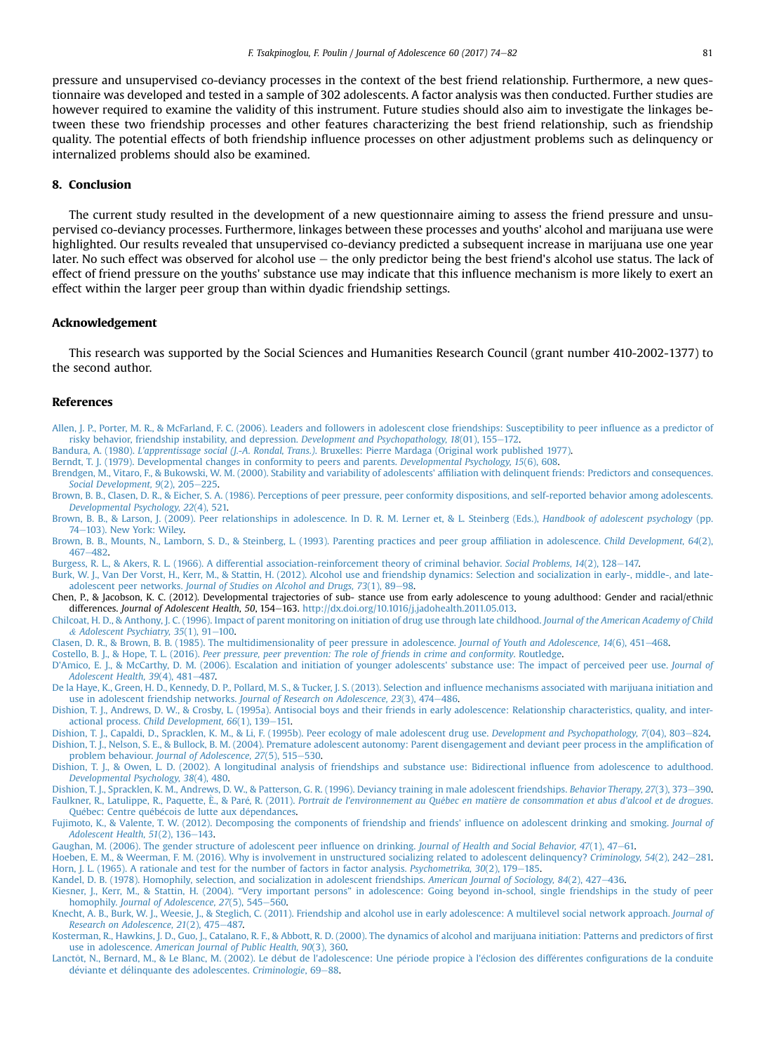<span id="page-7-0"></span>pressure and unsupervised co-deviancy processes in the context of the best friend relationship. Furthermore, a new questionnaire was developed and tested in a sample of 302 adolescents. A factor analysis was then conducted. Further studies are however required to examine the validity of this instrument. Future studies should also aim to investigate the linkages between these two friendship processes and other features characterizing the best friend relationship, such as friendship quality. The potential effects of both friendship influence processes on other adjustment problems such as delinquency or internalized problems should also be examined.

#### 8. Conclusion

The current study resulted in the development of a new questionnaire aiming to assess the friend pressure and unsupervised co-deviancy processes. Furthermore, linkages between these processes and youths' alcohol and marijuana use were highlighted. Our results revealed that unsupervised co-deviancy predicted a subsequent increase in marijuana use one year later. No such effect was observed for alcohol use – the only predictor being the best friend's alcohol use status. The lack of effect of friend pressure on the youths' substance use may indicate that this influence mechanism is more likely to exert an effect within the larger peer group than within dyadic friendship settings.

#### Acknowledgement

This research was supported by the Social Sciences and Humanities Research Council (grant number 410-2002-1377) to the second author.

#### References

- [Allen, J. P., Porter, M. R., & McFarland, F. C. \(2006\). Leaders and followers in adolescent close friendships: Susceptibility to peer in](http://refhub.elsevier.com/S0140-1971(17)30115-X/sref1)fluence as a predictor of [risky behavior, friendship instability, and depression.](http://refhub.elsevier.com/S0140-1971(17)30115-X/sref1) Development and Psychopathology, 18(01), 155-[172.](http://refhub.elsevier.com/S0140-1971(17)30115-X/sref1)
- Bandura, A. (1980). L'apprentissage social (J.-A. Rondal, Trans.)[. Bruxelles: Pierre Mardaga \(Original work published 1977\).](http://refhub.elsevier.com/S0140-1971(17)30115-X/sref2)
- [Berndt, T. J. \(1979\). Developmental changes in conformity to peers and parents.](http://refhub.elsevier.com/S0140-1971(17)30115-X/sref4) Developmental Psychology, 15(6), 608.
- [Brendgen, M., Vitaro, F., & Bukowski, W. M. \(2000\). Stability and variability of adolescents' af](http://refhub.elsevier.com/S0140-1971(17)30115-X/sref6)filiation with delinquent friends: Predictors and consequences. Social Development,  $9(2)$ ,  $205-225$  $205-225$ .
- [Brown, B. B., Clasen, D. R., & Eicher, S. A. \(1986\). Perceptions of peer pressure, peer conformity dispositions, and self-reported behavior among adolescents.](http://refhub.elsevier.com/S0140-1971(17)30115-X/sref7) [Developmental Psychology, 22](http://refhub.elsevier.com/S0140-1971(17)30115-X/sref7)(4), 521.
- [Brown, B. B., & Larson, J. \(2009\). Peer relationships in adolescence. In D. R. M. Lerner et, & L. Steinberg \(Eds.\),](http://refhub.elsevier.com/S0140-1971(17)30115-X/sref8) Handbook of adolescent psychology (pp. [74](http://refhub.elsevier.com/S0140-1971(17)30115-X/sref8)-[103\). New York: Wiley.](http://refhub.elsevier.com/S0140-1971(17)30115-X/sref8)
- [Brown, B. B., Mounts, N., Lamborn, S. D., & Steinberg, L. \(1993\). Parenting practices and peer group af](http://refhub.elsevier.com/S0140-1971(17)30115-X/sref9)filiation in adolescence. Child Development, 64(2), [467](http://refhub.elsevier.com/S0140-1971(17)30115-X/sref9)-[482](http://refhub.elsevier.com/S0140-1971(17)30115-X/sref9).
- [Burgess, R. L., & Akers, R. L. \(1966\). A differential association-reinforcement theory of criminal behavior.](http://refhub.elsevier.com/S0140-1971(17)30115-X/sref10) Social Problems, 14(2), 128–[147.](http://refhub.elsevier.com/S0140-1971(17)30115-X/sref10)
- [Burk, W. J., Van Der Vorst, H., Kerr, M., & Stattin, H. \(2012\). Alcohol use and friendship dynamics: Selection and socialization in early-, middle-, and late-](http://refhub.elsevier.com/S0140-1971(17)30115-X/sref11)adolescent peer networks. [Journal of Studies on Alcohol and Drugs, 73](http://refhub.elsevier.com/S0140-1971(17)30115-X/sref11)(1), 89-[98.](http://refhub.elsevier.com/S0140-1971(17)30115-X/sref11)
- Chen, P., & Jacobson, K. C. (2012). Developmental trajectories of sub- stance use from early adolescence to young adulthood: Gender and racial/ethnic differences. Journal of Adolescent Health, 50, 154-163. [http://dx.doi.org/10.1016/j.jadohealth.2011.05.013.](http://dx.doi.org/10.1016/j.jadohealth.2011.05.013)
- [Chilcoat, H. D., & Anthony, J. C. \(1996\). Impact of parent monitoring on initiation of drug use through late childhood.](http://refhub.elsevier.com/S0140-1971(17)30115-X/sref13) Journal of the American Academy of Child & Adolescent Psychiatry,  $35(1)$ ,  $91-100$  $91-100$ .
- [Clasen, D. R., & Brown, B. B. \(1985\). The multidimensionality of peer pressure in adolescence.](http://refhub.elsevier.com/S0140-1971(17)30115-X/sref14) Journal of Youth and Adolescence, 14(6), 451-[468](http://refhub.elsevier.com/S0140-1971(17)30115-X/sref14).
- Costello, B. J., & Hope, T. L. (2016). [Peer pressure, peer prevention: The role of friends in crime and conformity](http://refhub.elsevier.com/S0140-1971(17)30115-X/sref15). Routledge. [D'Amico, E. J., & McCarthy, D. M. \(2006\). Escalation and initiation of younger adolescents' substance use: The impact of perceived peer use.](http://refhub.elsevier.com/S0140-1971(17)30115-X/sref17) Journal of [Adolescent Health, 39](http://refhub.elsevier.com/S0140-1971(17)30115-X/sref17)(4), 481-[487.](http://refhub.elsevier.com/S0140-1971(17)30115-X/sref17)
- [De la Haye, K., Green, H. D., Kennedy, D. P., Pollard, M. S., & Tucker, J. S. \(2013\). Selection and in](http://refhub.elsevier.com/S0140-1971(17)30115-X/sref18)fluence mechanisms associated with marijuana initiation and [use in adolescent friendship networks.](http://refhub.elsevier.com/S0140-1971(17)30115-X/sref18) Journal of Research on Adolescence, 23(3), 474–[486.](http://refhub.elsevier.com/S0140-1971(17)30115-X/sref18)
- [Dishion, T. J., Andrews, D. W., & Crosby, L. \(1995a\). Antisocial boys and their friends in early adolescence: Relationship characteristics, quality, and inter](http://refhub.elsevier.com/S0140-1971(17)30115-X/sref20)actional process. Child Development,  $66(1)$ ,  $139-151$ .
- [Dishion, T. J., Capaldi, D., Spracklen, K. M., & Li, F. \(1995b\). Peer ecology of male adolescent drug use.](http://refhub.elsevier.com/S0140-1971(17)30115-X/sref21) Development and Psychopathology, 7(04), 803-[824.](http://refhub.elsevier.com/S0140-1971(17)30115-X/sref21)
- [Dishion, T. J., Nelson, S. E., & Bullock, B. M. \(2004\). Premature adolescent autonomy: Parent disengagement and deviant peer process in the ampli](http://refhub.elsevier.com/S0140-1971(17)30115-X/sref24)fication of problem behaviour. [Journal of Adolescence, 27](http://refhub.elsevier.com/S0140-1971(17)30115-X/sref24)(5), 515-[530](http://refhub.elsevier.com/S0140-1971(17)30115-X/sref24).
- [Dishion, T. J., & Owen, L. D. \(2002\). A longitudinal analysis of friendships and substance use: Bidirectional in](http://refhub.elsevier.com/S0140-1971(17)30115-X/sref25)fluence from adolescence to adulthood. [Developmental Psychology, 38](http://refhub.elsevier.com/S0140-1971(17)30115-X/sref25)(4), 480.
- [Dishion, T. J., Spracklen, K. M., Andrews, D. W., & Patterson, G. R. \(1996\). Deviancy training in male adolescent friendships.](http://refhub.elsevier.com/S0140-1971(17)30115-X/sref26) Behavior Therapy, 27(3), 373-[390.](http://refhub.elsevier.com/S0140-1971(17)30115-X/sref26) [Faulkner, R., Latulippe, R., Paquette,](http://refhub.elsevier.com/S0140-1971(17)30115-X/sref28) È., & Paré, R. (2011). [Portrait de l'environnement au Qu](http://refhub.elsevier.com/S0140-1971(17)30115-X/sref28)ébec en matiè[re de consommation et abus d](http://refhub.elsevier.com/S0140-1971(17)30115-X/sref28)'alcool et de drogues.
- [Qu](http://refhub.elsevier.com/S0140-1971(17)30115-X/sref28)é[bec: Centre qu](http://refhub.elsevier.com/S0140-1971(17)30115-X/sref28)é[b](http://refhub.elsevier.com/S0140-1971(17)30115-X/sref28)écois de lutte aux dé[pendances](http://refhub.elsevier.com/S0140-1971(17)30115-X/sref28).
- [Fujimoto, K., & Valente, T. W. \(2012\). Decomposing the components of friendship and friends' in](http://refhub.elsevier.com/S0140-1971(17)30115-X/sref30)fluence on adolescent drinking and smoking. Journal of [Adolescent Health, 51](http://refhub.elsevier.com/S0140-1971(17)30115-X/sref30)(2), 136-[143](http://refhub.elsevier.com/S0140-1971(17)30115-X/sref30).
- [Gaughan, M. \(2006\). The gender structure of adolescent peer in](http://refhub.elsevier.com/S0140-1971(17)30115-X/sref33)fluence on drinking. Journal of Health and Social Behavior, 47(1), 47-[61.](http://refhub.elsevier.com/S0140-1971(17)30115-X/sref33)
- [Hoeben, E. M., & Weerman, F. M. \(2016\). Why is involvement in unstructured socializing related to adolescent delinquency?](http://refhub.elsevier.com/S0140-1971(17)30115-X/sref34) Criminology, 54(2), 242-[281.](http://refhub.elsevier.com/S0140-1971(17)30115-X/sref34) [Horn, J. L. \(1965\). A rationale and test for the number of factors in factor analysis.](http://refhub.elsevier.com/S0140-1971(17)30115-X/sref35) Psychometrika, 30(2), 179–[185.](http://refhub.elsevier.com/S0140-1971(17)30115-X/sref35)
- [Kandel, D. B. \(1978\). Homophily, selection, and socialization in adolescent friendships.](http://refhub.elsevier.com/S0140-1971(17)30115-X/sref36) American Journal of Sociology, 84(2), 427-[436](http://refhub.elsevier.com/S0140-1971(17)30115-X/sref36).
- Kiesner, J., Kerr, M., & Stattin, H. (2004). "Very important persons" [in adolescence: Going beyond in-school, single friendships in the study of peer](http://refhub.elsevier.com/S0140-1971(17)30115-X/sref37)<br>homophily. [Journal of Adolescence, 27](http://refhub.elsevier.com/S0140-1971(17)30115-X/sref37)(5), 545–[560.](http://refhub.elsevier.com/S0140-1971(17)30115-X/sref37)
- [Knecht, A. B., Burk, W. J., Weesie, J., & Steglich, C. \(2011\). Friendship and alcohol use in early adolescence: A multilevel social network approach.](http://refhub.elsevier.com/S0140-1971(17)30115-X/sref39) Journal of [Research on Adolescence, 21](http://refhub.elsevier.com/S0140-1971(17)30115-X/sref39)(2), 475-[487.](http://refhub.elsevier.com/S0140-1971(17)30115-X/sref39)
- [Kosterman, R., Hawkins, J. D., Guo, J., Catalano, R. F., & Abbott, R. D. \(2000\). The dynamics of alcohol and marijuana initiation: Patterns and predictors of](http://refhub.elsevier.com/S0140-1971(17)30115-X/sref40) first use in adolescence. [American Journal of Public Health, 90](http://refhub.elsevier.com/S0140-1971(17)30115-X/sref40)(3), 360.
- [Lanct](http://refhub.elsevier.com/S0140-1971(17)30115-X/sref41)ô[t, N., Bernard, M., & Le Blanc, M. \(2002\). Le d](http://refhub.elsevier.com/S0140-1971(17)30115-X/sref41)é[but de l'adolescence: Une p](http://refhub.elsevier.com/S0140-1971(17)30115-X/sref41)ériode propice à [l'](http://refhub.elsevier.com/S0140-1971(17)30115-X/sref41)é[closion des diff](http://refhub.elsevier.com/S0140-1971(17)30115-X/sref41)érentes confi[gurations de la conduite](http://refhub.elsevier.com/S0140-1971(17)30115-X/sref41) déviante et dé[linquante des adolescentes.](http://refhub.elsevier.com/S0140-1971(17)30115-X/sref41) Criminologie, 69-[88](http://refhub.elsevier.com/S0140-1971(17)30115-X/sref41).